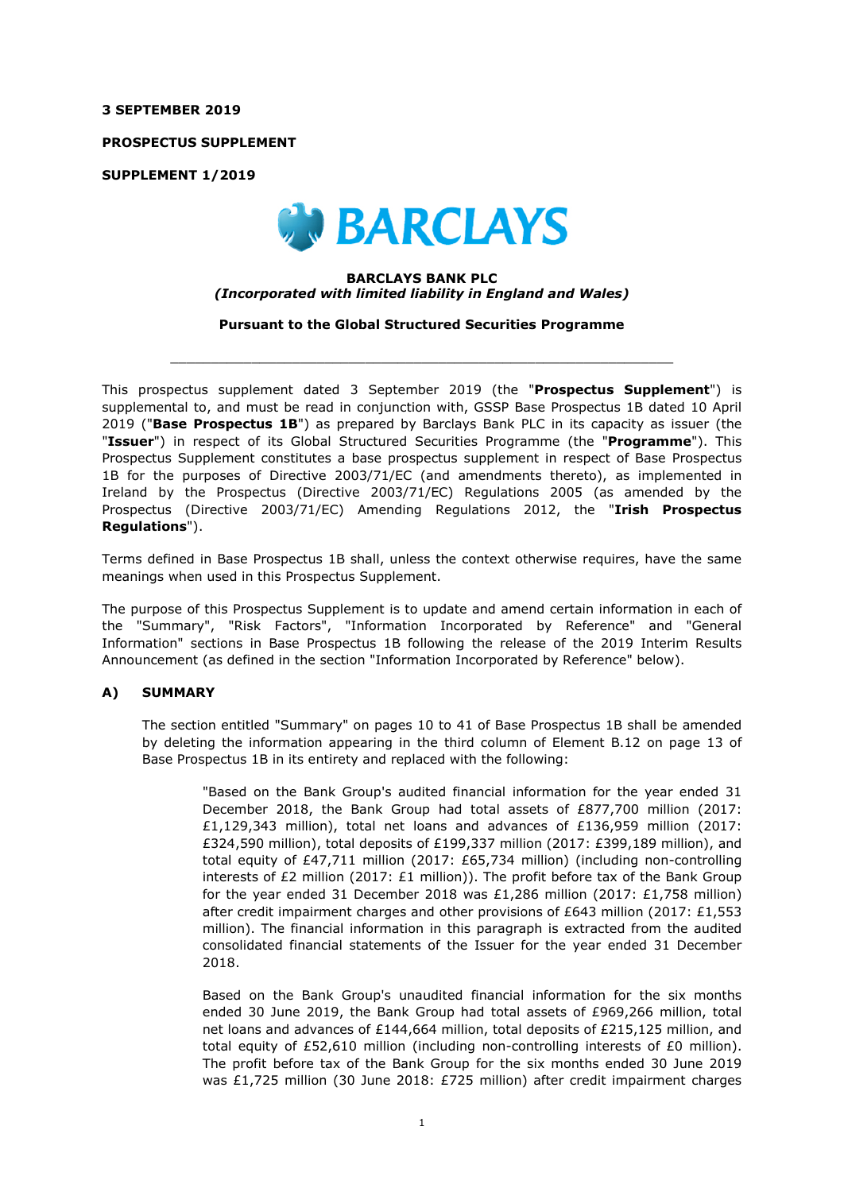#### **3 SEPTEMBER 2019**

**PROSPECTUS SUPPLEMENT** 

**SUPPLEMENT 1/2019** 



### **BARCLAYS BANK PLC**  *(Incorporated with limited liability in England and Wales)*

**Pursuant to the Global Structured Securities Programme** 

 $\_$  ,  $\_$  ,  $\_$  ,  $\_$  ,  $\_$  ,  $\_$  ,  $\_$  ,  $\_$  ,  $\_$  ,  $\_$  ,  $\_$  ,  $\_$  ,  $\_$  ,  $\_$  ,  $\_$  ,  $\_$  ,  $\_$  ,  $\_$  ,  $\_$ 

This prospectus supplement dated 3 September 2019 (the "**Prospectus Supplement**") is supplemental to, and must be read in conjunction with, GSSP Base Prospectus 1B dated 10 April 2019 ("**Base Prospectus 1B**") as prepared by Barclays Bank PLC in its capacity as issuer (the "**Issuer**") in respect of its Global Structured Securities Programme (the "**Programme**"). This Prospectus Supplement constitutes a base prospectus supplement in respect of Base Prospectus 1B for the purposes of Directive 2003/71/EC (and amendments thereto), as implemented in Ireland by the Prospectus (Directive 2003/71/EC) Regulations 2005 (as amended by the Prospectus (Directive 2003/71/EC) Amending Regulations 2012, the "**Irish Prospectus Regulations**").

Terms defined in Base Prospectus 1B shall, unless the context otherwise requires, have the same meanings when used in this Prospectus Supplement.

The purpose of this Prospectus Supplement is to update and amend certain information in each of the "Summary", "Risk Factors", "Information Incorporated by Reference" and "General Information" sections in Base Prospectus 1B following the release of the 2019 Interim Results Announcement (as defined in the section "Information Incorporated by Reference" below).

## **A) SUMMARY**

The section entitled "Summary" on pages 10 to 41 of Base Prospectus 1B shall be amended by deleting the information appearing in the third column of Element B.12 on page 13 of Base Prospectus 1B in its entirety and replaced with the following:

> "Based on the Bank Group's audited financial information for the year ended 31 December 2018, the Bank Group had total assets of £877,700 million (2017: £1,129,343 million), total net loans and advances of £136,959 million (2017: £324,590 million), total deposits of £199,337 million (2017: £399,189 million), and total equity of £47,711 million (2017: £65,734 million) (including non-controlling interests of £2 million (2017: £1 million)). The profit before tax of the Bank Group for the year ended 31 December 2018 was £1,286 million (2017: £1,758 million) after credit impairment charges and other provisions of £643 million (2017: £1,553 million). The financial information in this paragraph is extracted from the audited consolidated financial statements of the Issuer for the year ended 31 December 2018.

> Based on the Bank Group's unaudited financial information for the six months ended 30 June 2019, the Bank Group had total assets of £969,266 million, total net loans and advances of £144,664 million, total deposits of £215,125 million, and total equity of £52,610 million (including non-controlling interests of £0 million). The profit before tax of the Bank Group for the six months ended 30 June 2019 was £1,725 million (30 June 2018: £725 million) after credit impairment charges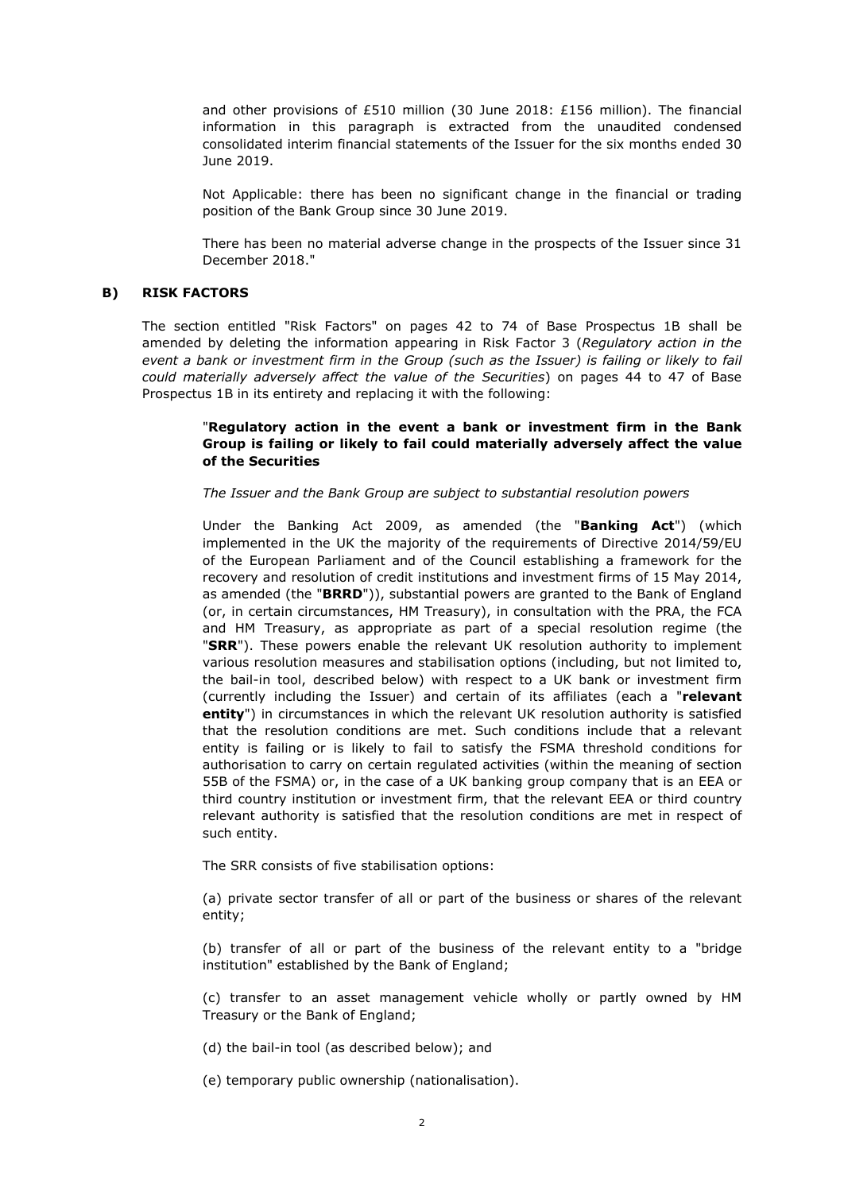and other provisions of £510 million (30 June 2018: £156 million). The financial information in this paragraph is extracted from the unaudited condensed consolidated interim financial statements of the Issuer for the six months ended 30 June 2019.

Not Applicable: there has been no significant change in the financial or trading position of the Bank Group since 30 June 2019.

There has been no material adverse change in the prospects of the Issuer since 31 December 2018."

### **B) RISK FACTORS**

The section entitled "Risk Factors" on pages 42 to 74 of Base Prospectus 1B shall be amended by deleting the information appearing in Risk Factor 3 (*Regulatory action in the event a bank or investment firm in the Group (such as the Issuer) is failing or likely to fail could materially adversely affect the value of the Securities*) on pages 44 to 47 of Base Prospectus 1B in its entirety and replacing it with the following:

# "**Regulatory action in the event a bank or investment firm in the Bank Group is failing or likely to fail could materially adversely affect the value of the Securities**

#### *The Issuer and the Bank Group are subject to substantial resolution powers*

Under the Banking Act 2009, as amended (the "**Banking Act**") (which implemented in the UK the majority of the requirements of Directive 2014/59/EU of the European Parliament and of the Council establishing a framework for the recovery and resolution of credit institutions and investment firms of 15 May 2014, as amended (the "**BRRD**")), substantial powers are granted to the Bank of England (or, in certain circumstances, HM Treasury), in consultation with the PRA, the FCA and HM Treasury, as appropriate as part of a special resolution regime (the "**SRR**"). These powers enable the relevant UK resolution authority to implement various resolution measures and stabilisation options (including, but not limited to, the bail-in tool, described below) with respect to a UK bank or investment firm (currently including the Issuer) and certain of its affiliates (each a "**relevant entity**") in circumstances in which the relevant UK resolution authority is satisfied that the resolution conditions are met. Such conditions include that a relevant entity is failing or is likely to fail to satisfy the FSMA threshold conditions for authorisation to carry on certain regulated activities (within the meaning of section 55B of the FSMA) or, in the case of a UK banking group company that is an EEA or third country institution or investment firm, that the relevant EEA or third country relevant authority is satisfied that the resolution conditions are met in respect of such entity.

The SRR consists of five stabilisation options:

(a) private sector transfer of all or part of the business or shares of the relevant entity;

(b) transfer of all or part of the business of the relevant entity to a "bridge institution" established by the Bank of England;

(c) transfer to an asset management vehicle wholly or partly owned by HM Treasury or the Bank of England;

- (d) the bail-in tool (as described below); and
- (e) temporary public ownership (nationalisation).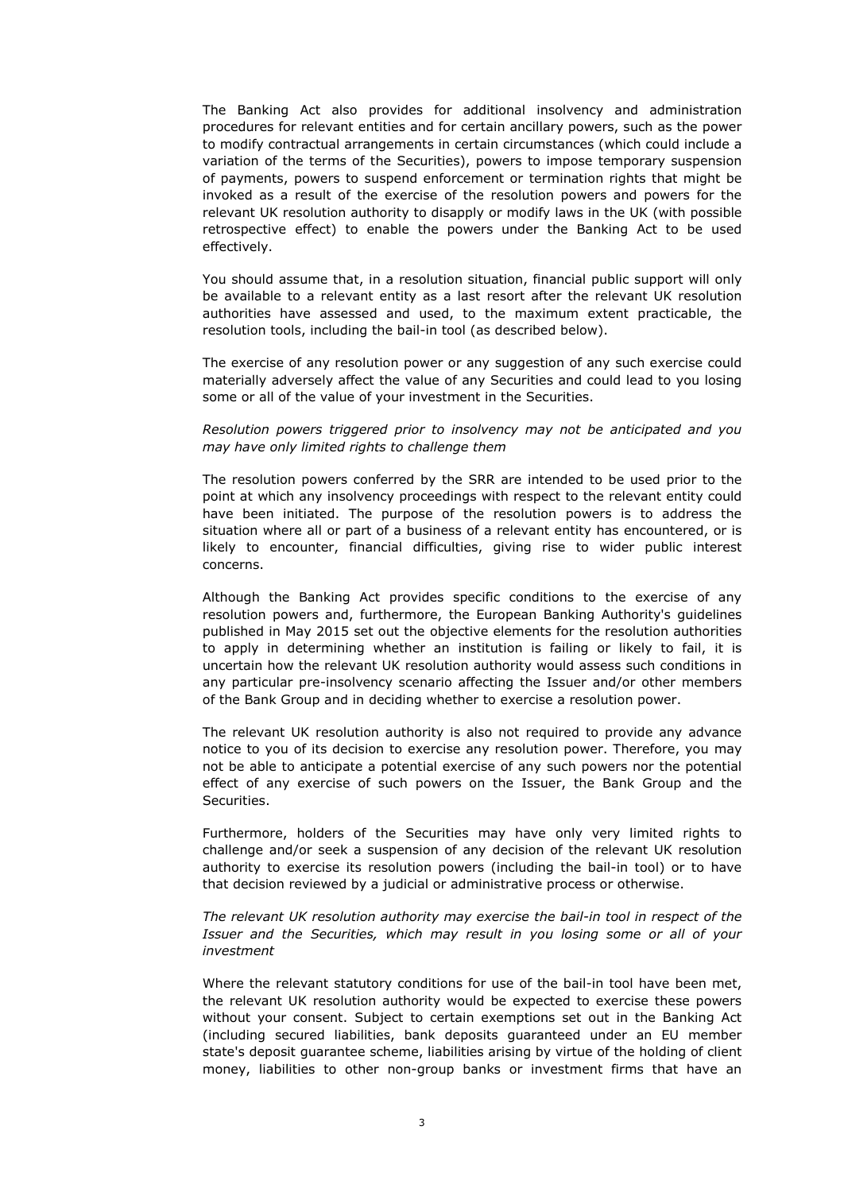The Banking Act also provides for additional insolvency and administration procedures for relevant entities and for certain ancillary powers, such as the power to modify contractual arrangements in certain circumstances (which could include a variation of the terms of the Securities), powers to impose temporary suspension of payments, powers to suspend enforcement or termination rights that might be invoked as a result of the exercise of the resolution powers and powers for the relevant UK resolution authority to disapply or modify laws in the UK (with possible retrospective effect) to enable the powers under the Banking Act to be used effectively.

You should assume that, in a resolution situation, financial public support will only be available to a relevant entity as a last resort after the relevant UK resolution authorities have assessed and used, to the maximum extent practicable, the resolution tools, including the bail-in tool (as described below).

The exercise of any resolution power or any suggestion of any such exercise could materially adversely affect the value of any Securities and could lead to you losing some or all of the value of your investment in the Securities.

*Resolution powers triggered prior to insolvency may not be anticipated and you may have only limited rights to challenge them* 

The resolution powers conferred by the SRR are intended to be used prior to the point at which any insolvency proceedings with respect to the relevant entity could have been initiated. The purpose of the resolution powers is to address the situation where all or part of a business of a relevant entity has encountered, or is likely to encounter, financial difficulties, giving rise to wider public interest concerns.

Although the Banking Act provides specific conditions to the exercise of any resolution powers and, furthermore, the European Banking Authority's guidelines published in May 2015 set out the objective elements for the resolution authorities to apply in determining whether an institution is failing or likely to fail, it is uncertain how the relevant UK resolution authority would assess such conditions in any particular pre-insolvency scenario affecting the Issuer and/or other members of the Bank Group and in deciding whether to exercise a resolution power.

The relevant UK resolution authority is also not required to provide any advance notice to you of its decision to exercise any resolution power. Therefore, you may not be able to anticipate a potential exercise of any such powers nor the potential effect of any exercise of such powers on the Issuer, the Bank Group and the Securities.

Furthermore, holders of the Securities may have only very limited rights to challenge and/or seek a suspension of any decision of the relevant UK resolution authority to exercise its resolution powers (including the bail-in tool) or to have that decision reviewed by a judicial or administrative process or otherwise.

*The relevant UK resolution authority may exercise the bail-in tool in respect of the Issuer and the Securities, which may result in you losing some or all of your investment* 

Where the relevant statutory conditions for use of the bail-in tool have been met, the relevant UK resolution authority would be expected to exercise these powers without your consent. Subject to certain exemptions set out in the Banking Act (including secured liabilities, bank deposits guaranteed under an EU member state's deposit guarantee scheme, liabilities arising by virtue of the holding of client money, liabilities to other non-group banks or investment firms that have an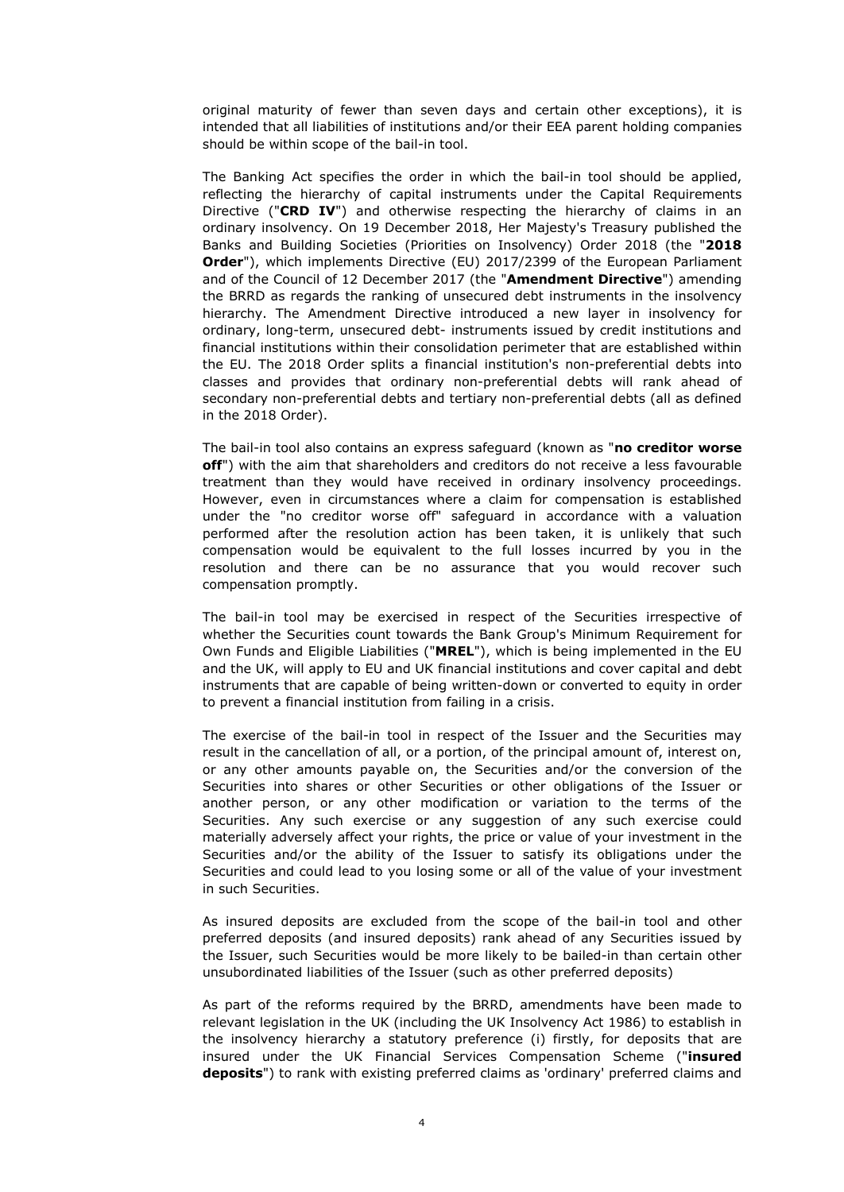original maturity of fewer than seven days and certain other exceptions), it is intended that all liabilities of institutions and/or their EEA parent holding companies should be within scope of the bail-in tool.

The Banking Act specifies the order in which the bail-in tool should be applied, reflecting the hierarchy of capital instruments under the Capital Requirements Directive ("**CRD IV**") and otherwise respecting the hierarchy of claims in an ordinary insolvency. On 19 December 2018, Her Majesty's Treasury published the Banks and Building Societies (Priorities on Insolvency) Order 2018 (the "**2018 Order**"), which implements Directive (EU) 2017/2399 of the European Parliament and of the Council of 12 December 2017 (the "**Amendment Directive**") amending the BRRD as regards the ranking of unsecured debt instruments in the insolvency hierarchy. The Amendment Directive introduced a new layer in insolvency for ordinary, long-term, unsecured debt- instruments issued by credit institutions and financial institutions within their consolidation perimeter that are established within the EU. The 2018 Order splits a financial institution's non-preferential debts into classes and provides that ordinary non-preferential debts will rank ahead of secondary non-preferential debts and tertiary non-preferential debts (all as defined in the 2018 Order).

The bail-in tool also contains an express safeguard (known as "**no creditor worse off**") with the aim that shareholders and creditors do not receive a less favourable treatment than they would have received in ordinary insolvency proceedings. However, even in circumstances where a claim for compensation is established under the "no creditor worse off" safeguard in accordance with a valuation performed after the resolution action has been taken, it is unlikely that such compensation would be equivalent to the full losses incurred by you in the resolution and there can be no assurance that you would recover such compensation promptly.

The bail-in tool may be exercised in respect of the Securities irrespective of whether the Securities count towards the Bank Group's Minimum Requirement for Own Funds and Eligible Liabilities ("**MREL**"), which is being implemented in the EU and the UK, will apply to EU and UK financial institutions and cover capital and debt instruments that are capable of being written-down or converted to equity in order to prevent a financial institution from failing in a crisis.

The exercise of the bail-in tool in respect of the Issuer and the Securities may result in the cancellation of all, or a portion, of the principal amount of, interest on, or any other amounts payable on, the Securities and/or the conversion of the Securities into shares or other Securities or other obligations of the Issuer or another person, or any other modification or variation to the terms of the Securities. Any such exercise or any suggestion of any such exercise could materially adversely affect your rights, the price or value of your investment in the Securities and/or the ability of the Issuer to satisfy its obligations under the Securities and could lead to you losing some or all of the value of your investment in such Securities.

As insured deposits are excluded from the scope of the bail-in tool and other preferred deposits (and insured deposits) rank ahead of any Securities issued by the Issuer, such Securities would be more likely to be bailed-in than certain other unsubordinated liabilities of the Issuer (such as other preferred deposits)

As part of the reforms required by the BRRD, amendments have been made to relevant legislation in the UK (including the UK Insolvency Act 1986) to establish in the insolvency hierarchy a statutory preference (i) firstly, for deposits that are insured under the UK Financial Services Compensation Scheme ("**insured deposits**") to rank with existing preferred claims as 'ordinary' preferred claims and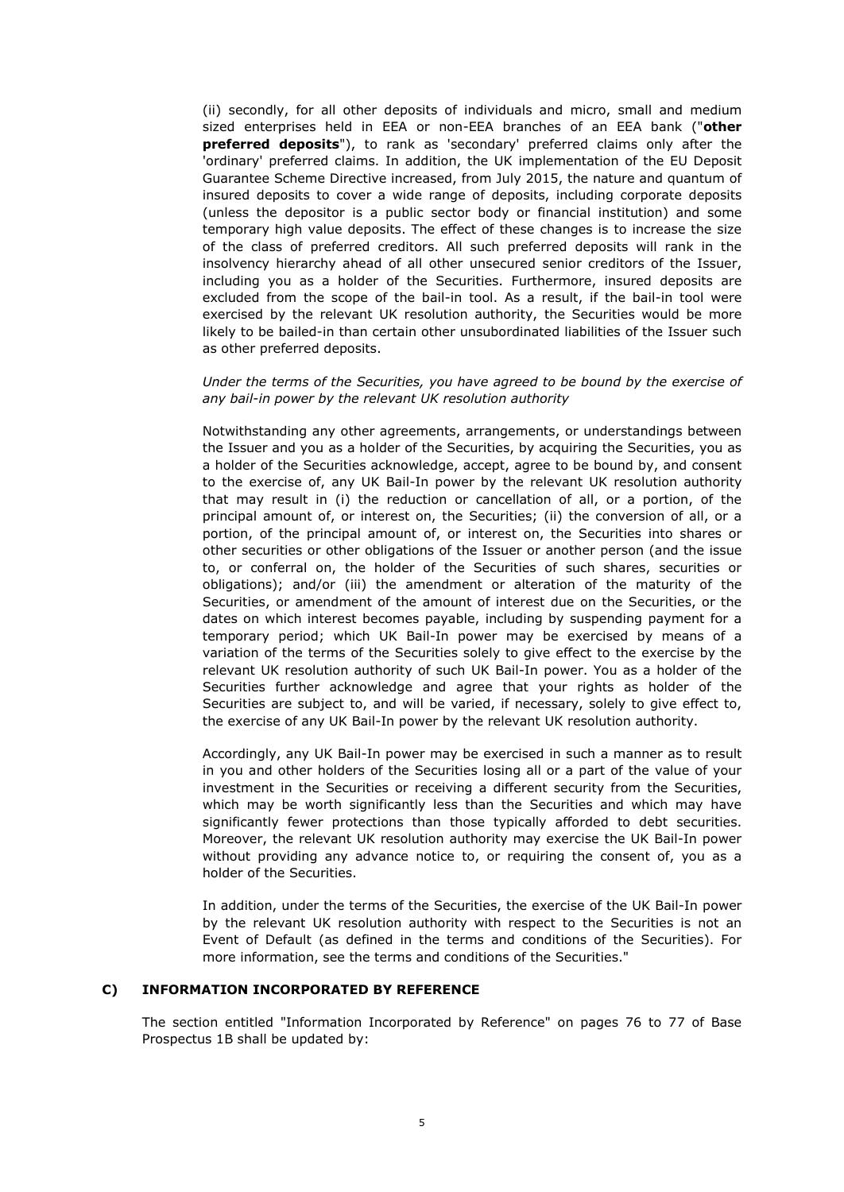(ii) secondly, for all other deposits of individuals and micro, small and medium sized enterprises held in EEA or non-EEA branches of an EEA bank ("**other preferred deposits**"), to rank as 'secondary' preferred claims only after the 'ordinary' preferred claims. In addition, the UK implementation of the EU Deposit Guarantee Scheme Directive increased, from July 2015, the nature and quantum of insured deposits to cover a wide range of deposits, including corporate deposits (unless the depositor is a public sector body or financial institution) and some temporary high value deposits. The effect of these changes is to increase the size of the class of preferred creditors. All such preferred deposits will rank in the insolvency hierarchy ahead of all other unsecured senior creditors of the Issuer, including you as a holder of the Securities. Furthermore, insured deposits are excluded from the scope of the bail-in tool. As a result, if the bail-in tool were exercised by the relevant UK resolution authority, the Securities would be more likely to be bailed-in than certain other unsubordinated liabilities of the Issuer such as other preferred deposits.

# *Under the terms of the Securities, you have agreed to be bound by the exercise of any bail-in power by the relevant UK resolution authority*

Notwithstanding any other agreements, arrangements, or understandings between the Issuer and you as a holder of the Securities, by acquiring the Securities, you as a holder of the Securities acknowledge, accept, agree to be bound by, and consent to the exercise of, any UK Bail-In power by the relevant UK resolution authority that may result in (i) the reduction or cancellation of all, or a portion, of the principal amount of, or interest on, the Securities; (ii) the conversion of all, or a portion, of the principal amount of, or interest on, the Securities into shares or other securities or other obligations of the Issuer or another person (and the issue to, or conferral on, the holder of the Securities of such shares, securities or obligations); and/or (iii) the amendment or alteration of the maturity of the Securities, or amendment of the amount of interest due on the Securities, or the dates on which interest becomes payable, including by suspending payment for a temporary period; which UK Bail-In power may be exercised by means of a variation of the terms of the Securities solely to give effect to the exercise by the relevant UK resolution authority of such UK Bail-In power. You as a holder of the Securities further acknowledge and agree that your rights as holder of the Securities are subject to, and will be varied, if necessary, solely to give effect to, the exercise of any UK Bail-In power by the relevant UK resolution authority.

Accordingly, any UK Bail-In power may be exercised in such a manner as to result in you and other holders of the Securities losing all or a part of the value of your investment in the Securities or receiving a different security from the Securities, which may be worth significantly less than the Securities and which may have significantly fewer protections than those typically afforded to debt securities. Moreover, the relevant UK resolution authority may exercise the UK Bail-In power without providing any advance notice to, or requiring the consent of, you as a holder of the Securities.

In addition, under the terms of the Securities, the exercise of the UK Bail-In power by the relevant UK resolution authority with respect to the Securities is not an Event of Default (as defined in the terms and conditions of the Securities). For more information, see the terms and conditions of the Securities."

# **C) INFORMATION INCORPORATED BY REFERENCE**

The section entitled "Information Incorporated by Reference" on pages 76 to 77 of Base Prospectus 1B shall be updated by: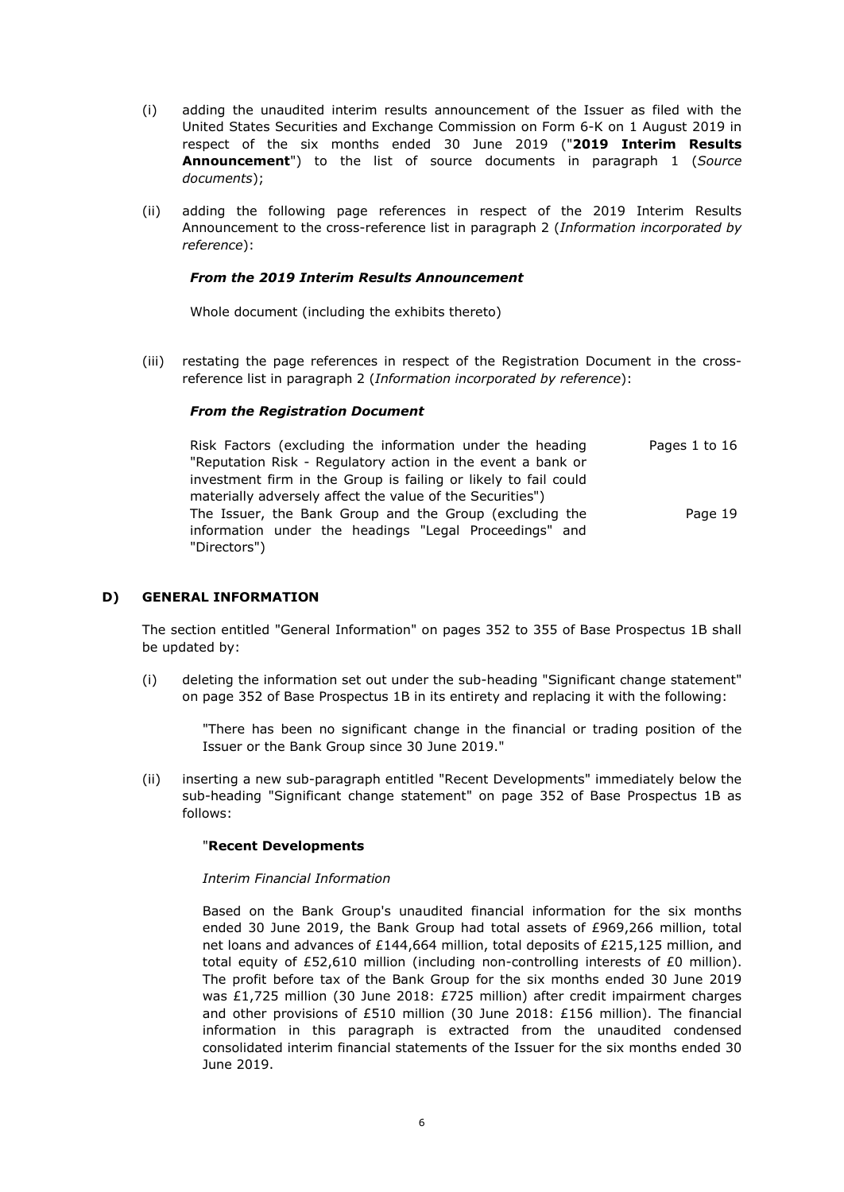- (i) adding the unaudited interim results announcement of the Issuer as filed with the United States Securities and Exchange Commission on Form 6-K on 1 August 2019 in respect of the six months ended 30 June 2019 ("**2019 Interim Results Announcement**") to the list of source documents in paragraph 1 (*Source documents*);
- (ii) adding the following page references in respect of the 2019 Interim Results Announcement to the cross-reference list in paragraph 2 (*Information incorporated by reference*):

## *From the 2019 Interim Results Announcement*

Whole document (including the exhibits thereto)

(iii) restating the page references in respect of the Registration Document in the crossreference list in paragraph 2 (*Information incorporated by reference*):

#### *From the Registration Document*

Risk Factors (excluding the information under the heading "Reputation Risk - Regulatory action in the event a bank or investment firm in the Group is failing or likely to fail could materially adversely affect the value of the Securities") Pages 1 to 16 The Issuer, the Bank Group and the Group (excluding the information under the headings "Legal Proceedings" and "Directors") Page 19

#### **D) GENERAL INFORMATION**

The section entitled "General Information" on pages 352 to 355 of Base Prospectus 1B shall be updated by:

(i) deleting the information set out under the sub-heading "Significant change statement" on page 352 of Base Prospectus 1B in its entirety and replacing it with the following:

> "There has been no significant change in the financial or trading position of the Issuer or the Bank Group since 30 June 2019."

(ii) inserting a new sub-paragraph entitled "Recent Developments" immediately below the sub-heading "Significant change statement" on page 352 of Base Prospectus 1B as follows:

#### "**Recent Developments**

*Interim Financial Information* 

Based on the Bank Group's unaudited financial information for the six months ended 30 June 2019, the Bank Group had total assets of £969,266 million, total net loans and advances of £144,664 million, total deposits of £215,125 million, and total equity of £52,610 million (including non-controlling interests of £0 million). The profit before tax of the Bank Group for the six months ended 30 June 2019 was £1,725 million (30 June 2018: £725 million) after credit impairment charges and other provisions of £510 million (30 June 2018: £156 million). The financial information in this paragraph is extracted from the unaudited condensed consolidated interim financial statements of the Issuer for the six months ended 30 June 2019.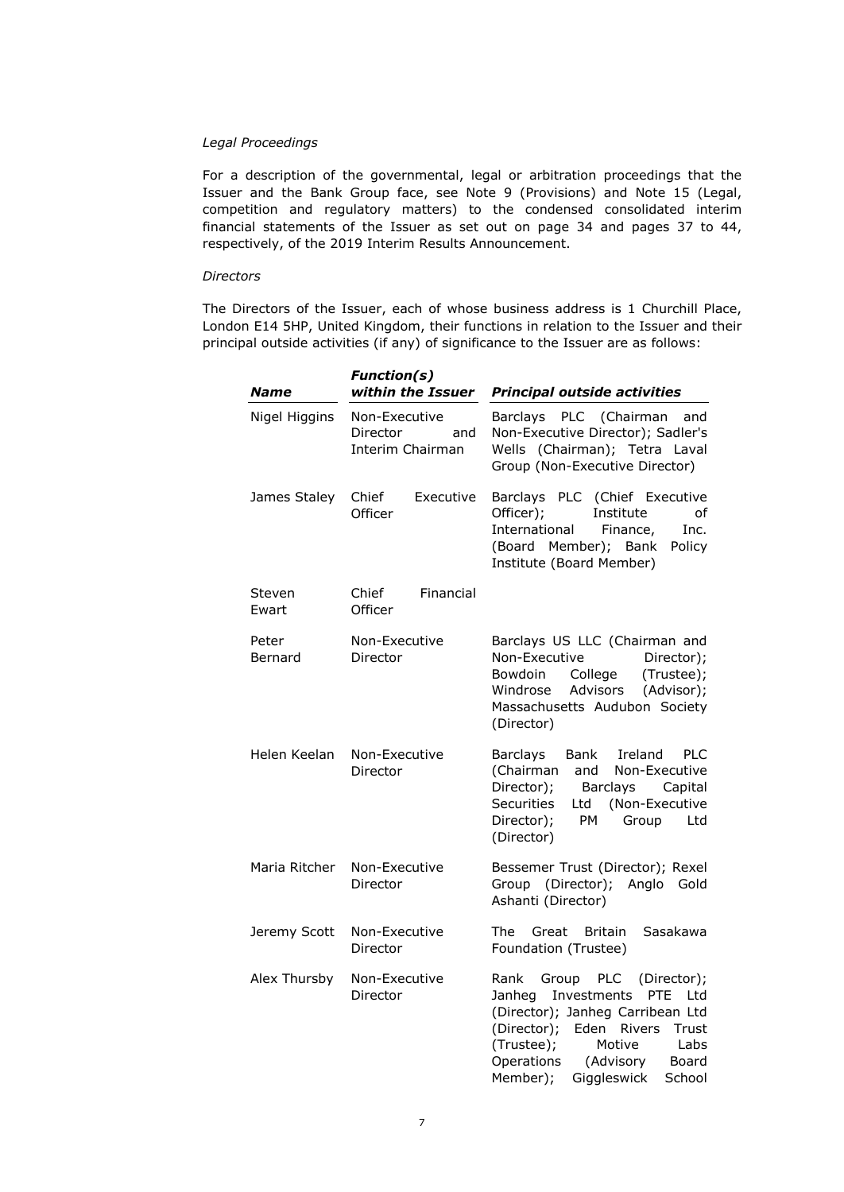#### *Legal Proceedings*

For a description of the governmental, legal or arbitration proceedings that the Issuer and the Bank Group face, see Note 9 (Provisions) and Note 15 (Legal, competition and regulatory matters) to the condensed consolidated interim financial statements of the Issuer as set out on page 34 and pages 37 to 44, respectively, of the 2019 Interim Results Announcement.

## *Directors*

The Directors of the Issuer, each of whose business address is 1 Churchill Place, London E14 5HP, United Kingdom, their functions in relation to the Issuer and their principal outside activities (if any) of significance to the Issuer are as follows:

| Name             | <b>Function(s)</b><br>within the Issuer              | <b>Principal outside activities</b>                                                                                                                                                                                                                                   |
|------------------|------------------------------------------------------|-----------------------------------------------------------------------------------------------------------------------------------------------------------------------------------------------------------------------------------------------------------------------|
| Nigel Higgins    | Non-Executive<br>Director<br>and<br>Interim Chairman | Barclays PLC (Chairman<br>and<br>Non-Executive Director); Sadler's<br>Wells (Chairman); Tetra Laval<br>Group (Non-Executive Director)                                                                                                                                 |
| James Staley     | Chief<br>Executive<br>Officer                        | Barclays PLC (Chief Executive<br>Officer);<br>Institute<br>of<br>International<br>Finance,<br>Inc.<br>(Board Member); Bank<br>Policy<br>Institute (Board Member)                                                                                                      |
| Steven<br>Ewart  | Chief<br>Financial<br>Officer                        |                                                                                                                                                                                                                                                                       |
| Peter<br>Bernard | Non-Executive<br>Director                            | Barclays US LLC (Chairman and<br>Non-Executive<br>Director);<br>Bowdoin<br>College<br>(Trustee);<br>(Advisor);<br>Windrose<br>Advisors<br>Massachusetts Audubon Society<br>(Director)                                                                                 |
| Helen Keelan     | Non-Executive<br>Director                            | Ireland<br><b>Barclays</b><br>Bank<br><b>PLC</b><br>(Chairman<br>Non-Executive<br>and<br>Director);<br><b>Barclays</b><br>Capital<br><b>Securities</b><br>(Non-Executive<br>Ltd<br>Director);<br>PM<br>Group<br>Ltd<br>(Director)                                     |
| Maria Ritcher    | Non-Executive<br>Director                            | Bessemer Trust (Director); Rexel<br>Group (Director); Anglo<br>Gold<br>Ashanti (Director)                                                                                                                                                                             |
| Jeremy Scott     | Non-Executive<br>Director                            | Sasakawa<br>The<br>Great<br><b>Britain</b><br>Foundation (Trustee)                                                                                                                                                                                                    |
| Alex Thursby     | Non-Executive<br>Director                            | Rank<br>Group<br><b>PLC</b><br>(Director);<br>PTE<br>Janheg<br>Investments<br>Ltd<br>(Director); Janheg Carribean Ltd<br>(Director);<br>Eden Rivers<br>Trust<br>(Trustee);<br>Motive<br>Labs<br>Operations<br>(Advisory<br>Board<br>Giggleswick<br>Member);<br>School |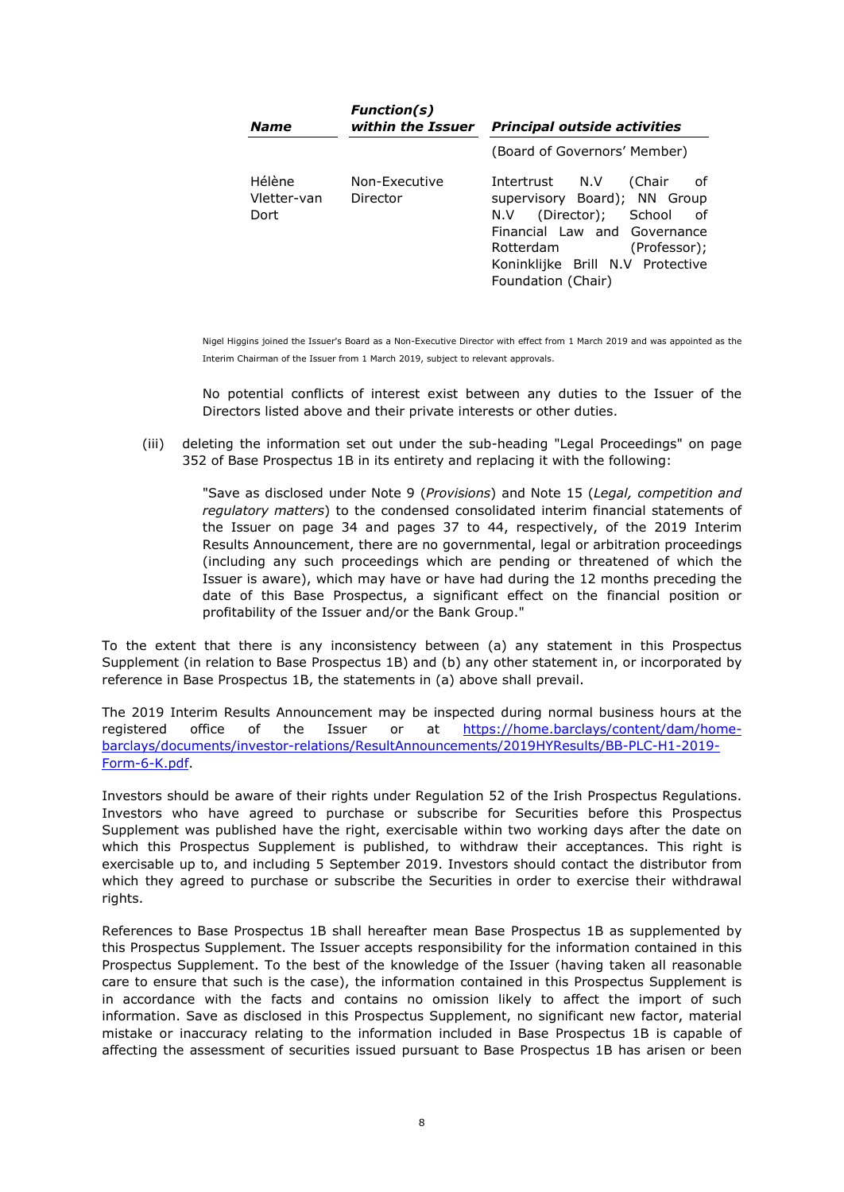| <b>Name</b>                   | <b>Function(s)</b><br>within the Issuer | <b>Principal outside activities</b>                                                                                                                                                                                 |
|-------------------------------|-----------------------------------------|---------------------------------------------------------------------------------------------------------------------------------------------------------------------------------------------------------------------|
|                               |                                         | (Board of Governors' Member)                                                                                                                                                                                        |
| Hélène<br>Vletter-van<br>Dort | Non-Executive<br>Director               | Intertrust N.V<br>(Chair)<br>of<br>supervisory Board); NN Group<br>N.V (Director); School of<br>Financial Law and Governance<br>(Professor);<br>Rotterdam<br>Koninklijke Brill N.V Protective<br>Foundation (Chair) |

Nigel Higgins joined the Issuer's Board as a Non-Executive Director with effect from 1 March 2019 and was appointed as the Interim Chairman of the Issuer from 1 March 2019, subject to relevant approvals.

No potential conflicts of interest exist between any duties to the Issuer of the Directors listed above and their private interests or other duties.

(iii) deleting the information set out under the sub-heading "Legal Proceedings" on page 352 of Base Prospectus 1B in its entirety and replacing it with the following:

"Save as disclosed under Note 9 (*Provisions*) and Note 15 (*Legal, competition and regulatory matters*) to the condensed consolidated interim financial statements of the Issuer on page 34 and pages 37 to 44, respectively, of the 2019 Interim Results Announcement, there are no governmental, legal or arbitration proceedings (including any such proceedings which are pending or threatened of which the Issuer is aware), which may have or have had during the 12 months preceding the date of this Base Prospectus, a significant effect on the financial position or profitability of the Issuer and/or the Bank Group."

To the extent that there is any inconsistency between (a) any statement in this Prospectus Supplement (in relation to Base Prospectus 1B) and (b) any other statement in, or incorporated by reference in Base Prospectus 1B, the statements in (a) above shall prevail.

The 2019 Interim Results Announcement may be inspected during normal business hours at the registered office of the Issuer or at https://home.barclays/content/dam/homebarclays/documents/investor-relations/ResultAnnouncements/2019HYResults/BB-PLC-H1-2019- Form-6-K.pdf.

Investors should be aware of their rights under Regulation 52 of the Irish Prospectus Regulations. Investors who have agreed to purchase or subscribe for Securities before this Prospectus Supplement was published have the right, exercisable within two working days after the date on which this Prospectus Supplement is published, to withdraw their acceptances. This right is exercisable up to, and including 5 September 2019. Investors should contact the distributor from which they agreed to purchase or subscribe the Securities in order to exercise their withdrawal rights.

References to Base Prospectus 1B shall hereafter mean Base Prospectus 1B as supplemented by this Prospectus Supplement. The Issuer accepts responsibility for the information contained in this Prospectus Supplement. To the best of the knowledge of the Issuer (having taken all reasonable care to ensure that such is the case), the information contained in this Prospectus Supplement is in accordance with the facts and contains no omission likely to affect the import of such information. Save as disclosed in this Prospectus Supplement, no significant new factor, material mistake or inaccuracy relating to the information included in Base Prospectus 1B is capable of affecting the assessment of securities issued pursuant to Base Prospectus 1B has arisen or been